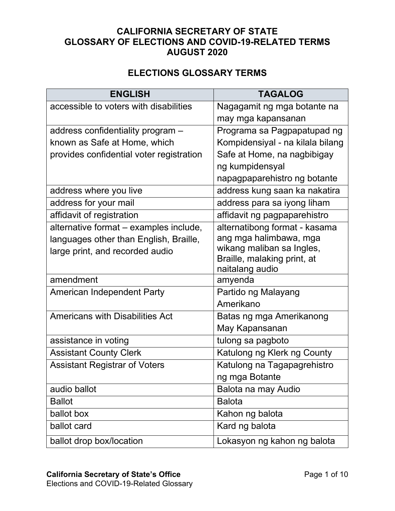## **CALIFORNIA SECRETARY OF STATE GLOSSARY OF ELECTIONS AND COVID-19-RELATED TERMS AUGUST 2020**

## **ELECTIONS GLOSSARY TERMS**

| <b>ENGLISH</b>                           | <b>TAGALOG</b>                                 |
|------------------------------------------|------------------------------------------------|
| accessible to voters with disabilities   | Nagagamit ng mga botante na                    |
|                                          | may mga kapansanan                             |
| address confidentiality program -        | Programa sa Pagpapatupad ng                    |
| known as Safe at Home, which             | Kompidensiyal - na kilala bilang               |
| provides confidential voter registration | Safe at Home, na nagbibigay                    |
|                                          | ng kumpidensyal                                |
|                                          | napagpaparehistro ng botante                   |
| address where you live                   | address kung saan ka nakatira                  |
| address for your mail                    | address para sa iyong liham                    |
| affidavit of registration                | affidavit ng pagpaparehistro                   |
| alternative format - examples include,   | alternatibong format - kasama                  |
| languages other than English, Braille,   | ang mga halimbawa, mga                         |
| large print, and recorded audio          | wikang maliban sa Ingles,                      |
|                                          | Braille, malaking print, at<br>naitalang audio |
| amendment                                | amyenda                                        |
| <b>American Independent Party</b>        | Partido ng Malayang                            |
|                                          | Amerikano                                      |
| <b>Americans with Disabilities Act</b>   | Batas ng mga Amerikanong                       |
|                                          | May Kapansanan                                 |
| assistance in voting                     | tulong sa pagboto                              |
| <b>Assistant County Clerk</b>            | Katulong ng Klerk ng County                    |
| <b>Assistant Registrar of Voters</b>     | Katulong na Tagapagrehistro                    |
|                                          | ng mga Botante                                 |
| audio ballot                             | Balota na may Audio                            |
| <b>Ballot</b>                            | <b>Balota</b>                                  |
| ballot box                               | Kahon ng balota                                |
| ballot card                              | Kard ng balota                                 |
| ballot drop box/location                 | Lokasyon ng kahon ng balota                    |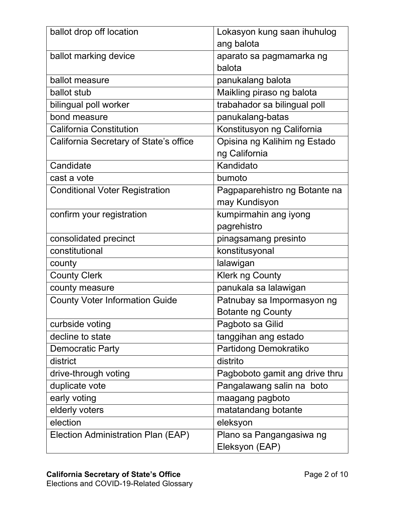| ballot drop off location               | Lokasyon kung saan ihuhulog    |
|----------------------------------------|--------------------------------|
|                                        | ang balota                     |
| ballot marking device                  | aparato sa pagmamarka ng       |
|                                        | balota                         |
| ballot measure                         | panukalang balota              |
| ballot stub                            | Maikling piraso ng balota      |
| bilingual poll worker                  | trabahador sa bilingual poll   |
| bond measure                           | panukalang-batas               |
| <b>California Constitution</b>         | Konstitusyon ng California     |
| California Secretary of State's office | Opisina ng Kalihim ng Estado   |
|                                        | ng California                  |
| Candidate                              | Kandidato                      |
| cast a vote                            | bumoto                         |
| <b>Conditional Voter Registration</b>  | Pagpaparehistro ng Botante na  |
|                                        | may Kundisyon                  |
| confirm your registration              | kumpirmahin ang iyong          |
|                                        | pagrehistro                    |
| consolidated precinct                  | pinagsamang presinto           |
| constitutional                         | konstitusyonal                 |
| county                                 | lalawigan                      |
| <b>County Clerk</b>                    | <b>Klerk ng County</b>         |
| county measure                         | panukala sa lalawigan          |
| <b>County Voter Information Guide</b>  | Patnubay sa Impormasyon ng     |
|                                        | <b>Botante ng County</b>       |
| curbside voting                        | Pagboto sa Gilid               |
| decline to state                       | tanggihan ang estado           |
| <b>Democratic Party</b>                | Partidong Demokratiko          |
| district                               | distrito                       |
| drive-through voting                   | Pagboboto gamit ang drive thru |
| duplicate vote                         | Pangalawang salin na boto      |
| early voting                           | maagang pagboto                |
| elderly voters                         | matatandang botante            |
| election                               | eleksyon                       |
| Election Administration Plan (EAP)     | Plano sa Pangangasiwa ng       |
|                                        | Eleksyon (EAP)                 |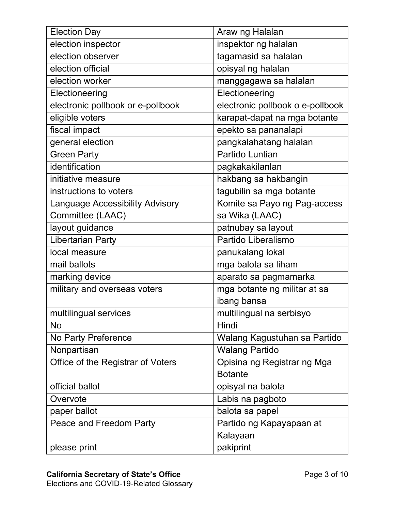| <b>Election Day</b>                    | Araw ng Halalan                  |
|----------------------------------------|----------------------------------|
| election inspector                     | inspektor ng halalan             |
| election observer                      | tagamasid sa halalan             |
| election official                      | opisyal ng halalan               |
| election worker                        | manggagawa sa halalan            |
| Electioneering                         | Electioneering                   |
| electronic pollbook or e-pollbook      | electronic pollbook o e-pollbook |
| eligible voters                        | karapat-dapat na mga botante     |
| fiscal impact                          | epekto sa pananalapi             |
| general election                       | pangkalahatang halalan           |
| <b>Green Party</b>                     | Partido Luntian                  |
| identification                         | pagkakakilanlan                  |
| initiative measure                     | hakbang sa hakbangin             |
| instructions to voters                 | tagubilin sa mga botante         |
| <b>Language Accessibility Advisory</b> | Komite sa Payo ng Pag-access     |
| Committee (LAAC)                       | sa Wika (LAAC)                   |
| layout guidance                        | patnubay sa layout               |
| <b>Libertarian Party</b>               | Partido Liberalismo              |
| local measure                          | panukalang lokal                 |
| mail ballots                           | mga balota sa liham              |
| marking device                         | aparato sa pagmamarka            |
| military and overseas voters           | mga botante ng militar at sa     |
|                                        | ibang bansa                      |
| multilingual services                  | multilingual na serbisyo         |
| <b>No</b>                              | Hindi                            |
| No Party Preference                    | Walang Kagustuhan sa Partido     |
| Nonpartisan                            | <b>Walang Partido</b>            |
| Office of the Registrar of Voters      | Opisina ng Registrar ng Mga      |
|                                        | <b>Botante</b>                   |
| official ballot                        | opisyal na balota                |
| Overvote                               | Labis na pagboto                 |
| paper ballot                           | balota sa papel                  |
| Peace and Freedom Party                | Partido ng Kapayapaan at         |
|                                        | Kalayaan                         |
| please print                           | pakiprint                        |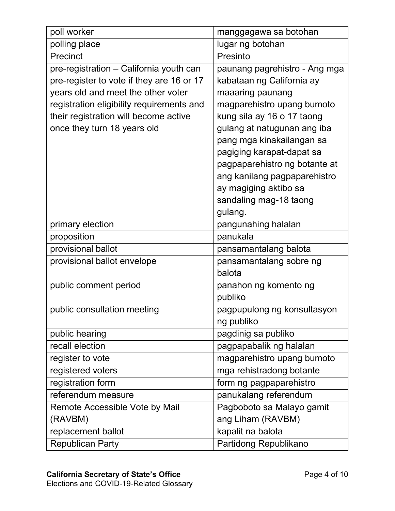| poll worker                               | manggagawa sa botohan         |
|-------------------------------------------|-------------------------------|
| polling place                             | lugar ng botohan              |
| Precinct                                  | Presinto                      |
| pre-registration – California youth can   | paunang pagrehistro - Ang mga |
| pre-register to vote if they are 16 or 17 | kabataan ng California ay     |
| years old and meet the other voter        | maaaring paunang              |
| registration eligibility requirements and | magparehistro upang bumoto    |
| their registration will become active     | kung sila ay 16 o 17 taong    |
| once they turn 18 years old               | gulang at natugunan ang iba   |
|                                           | pang mga kinakailangan sa     |
|                                           | pagiging karapat-dapat sa     |
|                                           | pagpaparehistro ng botante at |
|                                           | ang kanilang pagpaparehistro  |
|                                           | ay magiging aktibo sa         |
|                                           | sandaling mag-18 taong        |
|                                           | gulang.                       |
| primary election                          | pangunahing halalan           |
| proposition                               | panukala                      |
| provisional ballot                        | pansamantalang balota         |
| provisional ballot envelope               | pansamantalang sobre ng       |
|                                           | balota                        |
| public comment period                     | panahon ng komento ng         |
|                                           | publiko                       |
| public consultation meeting               | pagpupulong ng konsultasyon   |
|                                           | ng publiko                    |
| public hearing                            | pagdinig sa publiko           |
| recall election                           | pagpapabalik ng halalan       |
| register to vote                          | magparehistro upang bumoto    |
| registered voters                         | mga rehistradong botante      |
| registration form                         | form ng pagpaparehistro       |
| referendum measure                        | panukalang referendum         |
| Remote Accessible Vote by Mail            | Pagboboto sa Malayo gamit     |
| (RAVBM)                                   | ang Liham (RAVBM)             |
| replacement ballot                        | kapalit na balota             |
| <b>Republican Party</b>                   | Partidong Republikano         |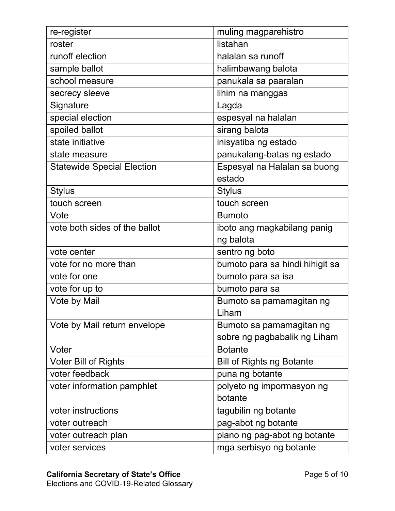| re-register                       | muling magparehistro             |
|-----------------------------------|----------------------------------|
| roster                            | listahan                         |
| runoff election                   | halalan sa runoff                |
| sample ballot                     | halimbawang balota               |
| school measure                    | panukala sa paaralan             |
| secrecy sleeve                    | lihim na manggas                 |
| Signature                         | Lagda                            |
| special election                  | espesyal na halalan              |
| spoiled ballot                    | sirang balota                    |
| state initiative                  | inisyatiba ng estado             |
| state measure                     | panukalang-batas ng estado       |
| <b>Statewide Special Election</b> | Espesyal na Halalan sa buong     |
|                                   | estado                           |
| <b>Stylus</b>                     | <b>Stylus</b>                    |
| touch screen                      | touch screen                     |
| Vote                              | <b>Bumoto</b>                    |
| vote both sides of the ballot     | iboto ang magkabilang panig      |
|                                   | ng balota                        |
| vote center                       | sentro ng boto                   |
| vote for no more than             | bumoto para sa hindi hihigit sa  |
| vote for one                      | bumoto para sa isa               |
| vote for up to                    | bumoto para sa                   |
| Vote by Mail                      | Bumoto sa pamamagitan ng         |
|                                   | Liham                            |
| Vote by Mail return envelope      | Bumoto sa pamamagitan ng         |
|                                   | sobre ng pagbabalik ng Liham     |
| Voter                             | <b>Botante</b>                   |
| <b>Voter Bill of Rights</b>       | <b>Bill of Rights ng Botante</b> |
| voter feedback                    | puna ng botante                  |
| voter information pamphlet        | polyeto ng impormasyon ng        |
|                                   | botante                          |
| voter instructions                | tagubilin ng botante             |
| voter outreach                    | pag-abot ng botante              |
| voter outreach plan               | plano ng pag-abot ng botante     |
| voter services                    | mga serbisyo ng botante          |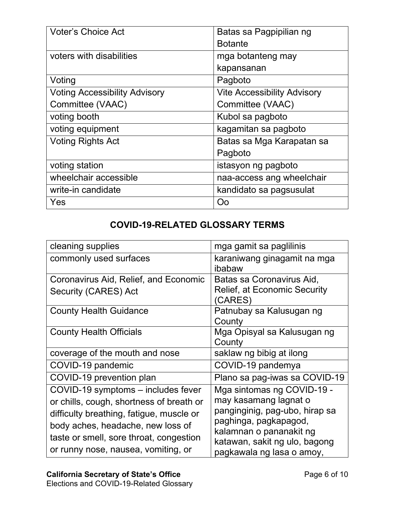| <b>Voter's Choice Act</b>            | Batas sa Pagpipilian ng            |
|--------------------------------------|------------------------------------|
|                                      | <b>Botante</b>                     |
| voters with disabilities             | mga botanteng may                  |
|                                      | kapansanan                         |
| Voting                               | Pagboto                            |
| <b>Voting Accessibility Advisory</b> | <b>Vite Accessibility Advisory</b> |
| Committee (VAAC)                     | Committee (VAAC)                   |
| voting booth                         | Kubol sa pagboto                   |
| voting equipment                     | kagamitan sa pagboto               |
| <b>Voting Rights Act</b>             | Batas sa Mga Karapatan sa          |
|                                      | Pagboto                            |
| voting station                       | istasyon ng pagboto                |
| wheelchair accessible                | naa-access ang wheelchair          |
| write-in candidate                   | kandidato sa pagsusulat            |
| Yes                                  | Oo                                 |

## **COVID-19-RELATED GLOSSARY TERMS**

| cleaning supplies                                                                                                                                                                                                                                 | mga gamit sa paglilinis                                                                                                                                                                                 |
|---------------------------------------------------------------------------------------------------------------------------------------------------------------------------------------------------------------------------------------------------|---------------------------------------------------------------------------------------------------------------------------------------------------------------------------------------------------------|
| commonly used surfaces                                                                                                                                                                                                                            | karaniwang ginagamit na mga<br>ibabaw                                                                                                                                                                   |
| Coronavirus Aid, Relief, and Economic<br><b>Security (CARES) Act</b>                                                                                                                                                                              | Batas sa Coronavirus Aid,<br><b>Relief, at Economic Security</b><br>(CARES)                                                                                                                             |
| <b>County Health Guidance</b>                                                                                                                                                                                                                     | Patnubay sa Kalusugan ng<br>County                                                                                                                                                                      |
| <b>County Health Officials</b>                                                                                                                                                                                                                    | Mga Opisyal sa Kalusugan ng<br>County                                                                                                                                                                   |
| coverage of the mouth and nose                                                                                                                                                                                                                    | saklaw ng bibig at ilong                                                                                                                                                                                |
| COVID-19 pandemic                                                                                                                                                                                                                                 | COVID-19 pandemya                                                                                                                                                                                       |
| COVID-19 prevention plan                                                                                                                                                                                                                          | Plano sa pag-iwas sa COVID-19                                                                                                                                                                           |
| COVID-19 symptoms - includes fever<br>or chills, cough, shortness of breath or<br>difficulty breathing, fatigue, muscle or<br>body aches, headache, new loss of<br>taste or smell, sore throat, congestion<br>or runny nose, nausea, vomiting, or | Mga sintomas ng COVID-19 -<br>may kasamang lagnat o<br>panginginig, pag-ubo, hirap sa<br>paghinga, pagkapagod,<br>kalamnan o pananakit ng<br>katawan, sakit ng ulo, bagong<br>pagkawala ng lasa o amoy, |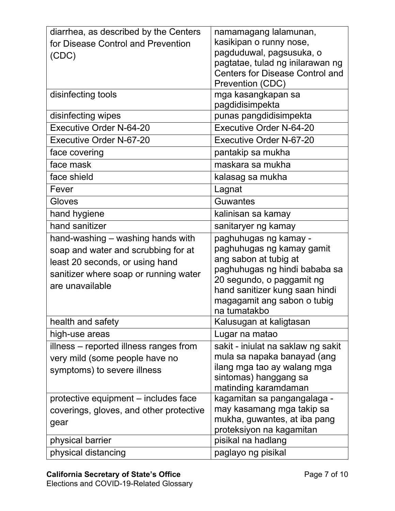| diarrhea, as described by the Centers   | namamagang lalamunan,                                |
|-----------------------------------------|------------------------------------------------------|
| for Disease Control and Prevention      | kasikipan o runny nose,                              |
| (CDC)                                   | pagduduwal, pagsusuka, o                             |
|                                         | pagtatae, tulad ng inilarawan ng                     |
|                                         | <b>Centers for Disease Control and</b>               |
|                                         | Prevention (CDC)                                     |
| disinfecting tools                      | mga kasangkapan sa                                   |
|                                         | pagdidisimpekta                                      |
| disinfecting wipes                      | punas pangdidisimpekta                               |
| <b>Executive Order N-64-20</b>          | <b>Executive Order N-64-20</b>                       |
| <b>Executive Order N-67-20</b>          | <b>Executive Order N-67-20</b>                       |
| face covering                           | pantakip sa mukha                                    |
| face mask                               | maskara sa mukha                                     |
| face shield                             | kalasag sa mukha                                     |
| Fever                                   | Lagnat                                               |
| Gloves                                  | Guwantes                                             |
| hand hygiene                            | kalinisan sa kamay                                   |
| hand sanitizer                          | sanitaryer ng kamay                                  |
| hand-washing - washing hands with       | paghuhugas ng kamay -                                |
| soap and water and scrubbing for at     | paghuhugas ng kamay gamit                            |
| least 20 seconds, or using hand         | ang sabon at tubig at                                |
| sanitizer where soap or running water   | paghuhugas ng hindi bababa sa                        |
| are unavailable                         | 20 segundo, o paggamit ng                            |
|                                         | hand sanitizer kung saan hindi                       |
|                                         | magagamit ang sabon o tubig                          |
| health and safety                       | na tumatakbo<br>Kalusugan at kaligtasan              |
|                                         |                                                      |
| high-use areas                          | Lugar na matao                                       |
| illness – reported illness ranges from  | sakit - iniulat na saklaw ng sakit                   |
| very mild (some people have no          | mula sa napaka banayad (ang                          |
| symptoms) to severe illness             | ilang mga tao ay walang mga<br>sintomas) hanggang sa |
|                                         | matinding karamdaman                                 |
| protective equipment – includes face    | kagamitan sa pangangalaga -                          |
| coverings, gloves, and other protective | may kasamang mga takip sa                            |
|                                         | mukha, guwantes, at iba pang                         |
| gear                                    | proteksiyon na kagamitan                             |
| physical barrier                        | pisikal na hadlang                                   |
| physical distancing                     | paglayo ng pisikal                                   |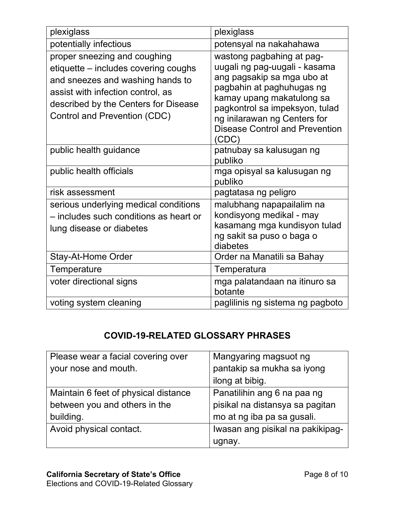| plexiglass                                                                                                                                                                                                            | plexiglass                                                                                                                                                                                                                                                             |
|-----------------------------------------------------------------------------------------------------------------------------------------------------------------------------------------------------------------------|------------------------------------------------------------------------------------------------------------------------------------------------------------------------------------------------------------------------------------------------------------------------|
| potentially infectious                                                                                                                                                                                                | potensyal na nakahahawa                                                                                                                                                                                                                                                |
| proper sneezing and coughing<br>etiquette – includes covering coughs<br>and sneezes and washing hands to<br>assist with infection control, as<br>described by the Centers for Disease<br>Control and Prevention (CDC) | wastong pagbahing at pag-<br>uugali ng pag-uugali - kasama<br>ang pagsakip sa mga ubo at<br>pagbahin at paghuhugas ng<br>kamay upang makatulong sa<br>pagkontrol sa impeksyon, tulad<br>ng inilarawan ng Centers for<br><b>Disease Control and Prevention</b><br>(CDC) |
| public health guidance                                                                                                                                                                                                | patnubay sa kalusugan ng<br>publiko                                                                                                                                                                                                                                    |
| public health officials                                                                                                                                                                                               | mga opisyal sa kalusugan ng<br>publiko                                                                                                                                                                                                                                 |
| risk assessment                                                                                                                                                                                                       | pagtatasa ng peligro                                                                                                                                                                                                                                                   |
| serious underlying medical conditions<br>- includes such conditions as heart or<br>lung disease or diabetes                                                                                                           | malubhang napapailalim na<br>kondisyong medikal - may<br>kasamang mga kundisyon tulad<br>ng sakit sa puso o baga o<br>diabetes                                                                                                                                         |
| <b>Stay-At-Home Order</b>                                                                                                                                                                                             | Order na Manatili sa Bahay                                                                                                                                                                                                                                             |
| Temperature                                                                                                                                                                                                           | Temperatura                                                                                                                                                                                                                                                            |
| voter directional signs                                                                                                                                                                                               | mga palatandaan na itinuro sa<br>botante                                                                                                                                                                                                                               |
| voting system cleaning                                                                                                                                                                                                | paglilinis ng sistema ng pagboto                                                                                                                                                                                                                                       |

## **COVID-19-RELATED GLOSSARY PHRASES**

| Please wear a facial covering over   | Mangyaring magsuot ng            |
|--------------------------------------|----------------------------------|
| your nose and mouth.                 | pantakip sa mukha sa iyong       |
|                                      | ilong at bibig.                  |
| Maintain 6 feet of physical distance | Panatilihin ang 6 na paa ng      |
| between you and others in the        | pisikal na distansya sa pagitan  |
| building.                            | mo at ng iba pa sa gusali.       |
| Avoid physical contact.              | Iwasan ang pisikal na pakikipag- |
|                                      | ugnay                            |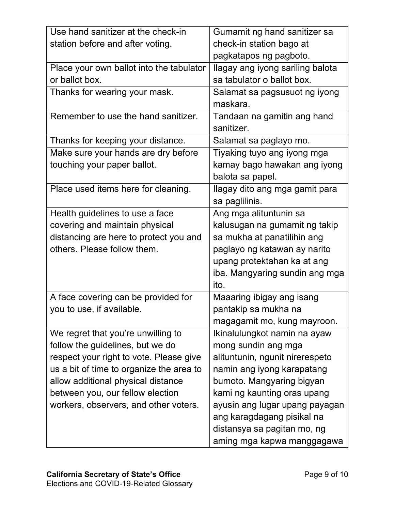| Use hand sanitizer at the check-in       | Gumamit ng hand sanitizer sa     |
|------------------------------------------|----------------------------------|
| station before and after voting.         | check-in station bago at         |
|                                          | pagkatapos ng pagboto.           |
| Place your own ballot into the tabulator | Ilagay ang iyong sariling balota |
| or ballot box.                           | sa tabulator o ballot box.       |
| Thanks for wearing your mask.            | Salamat sa pagsusuot ng iyong    |
|                                          | maskara.                         |
| Remember to use the hand sanitizer.      | Tandaan na gamitin ang hand      |
|                                          | sanitizer.                       |
| Thanks for keeping your distance.        | Salamat sa paglayo mo.           |
| Make sure your hands are dry before      | Tiyaking tuyo ang iyong mga      |
| touching your paper ballot.              | kamay bago hawakan ang iyong     |
|                                          | balota sa papel.                 |
| Place used items here for cleaning.      | Ilagay dito ang mga gamit para   |
|                                          | sa paglilinis.                   |
| Health guidelines to use a face          | Ang mga alituntunin sa           |
| covering and maintain physical           | kalusugan na gumamit ng takip    |
| distancing are here to protect you and   | sa mukha at panatilihin ang      |
| others. Please follow them.              | paglayo ng katawan ay narito     |
|                                          | upang protektahan ka at ang      |
|                                          | iba. Mangyaring sundin ang mga   |
|                                          | ito.                             |
| A face covering can be provided for      | Maaaring ibigay ang isang        |
| you to use, if available.                | pantakip sa mukha na             |
|                                          | magagamit mo, kung mayroon.      |
| We regret that you're unwilling to       | Ikinalulungkot namin na ayaw     |
| follow the guidelines, but we do         | mong sundin ang mga              |
| respect your right to vote. Please give  | alituntunin, ngunit nirerespeto  |
| us a bit of time to organize the area to | namin ang iyong karapatang       |
| allow additional physical distance       | bumoto. Mangyaring bigyan        |
| between you, our fellow election         | kami ng kaunting oras upang      |
| workers, observers, and other voters.    | ayusin ang lugar upang payagan   |
|                                          | ang karagdagang pisikal na       |
|                                          | distansya sa pagitan mo, ng      |
|                                          | aming mga kapwa manggagawa       |